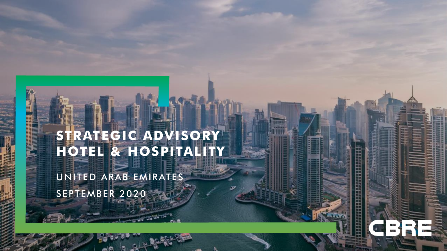### **STRATEGIC ADVISORY HOTEL & HOSPITALITY**

집 발음 마음 마음 전 등의 동물 발음 마음 이 등의 등의 전 등의 발음 장군

UNITED ARAB EMIRATES SEPTEMBER 2020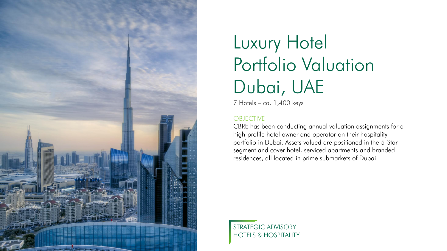

## Luxury Hotel Portfolio Valuation Dubai, UAE

7 Hotels – ca. 1,400 keys

#### **OBJECTIVE**

CBRE has been conducting annual valuation assignments for a high-profile hotel owner and operator on their hospitality portfolio in Dubai. Assets valued are positioned in the 5-Star segment and cover hotel, serviced apartments and branded residences, all located in prime submarkets of Dubai.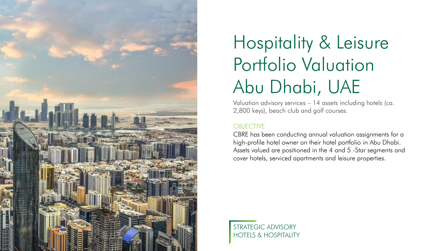

# Hospitality & Leisure Portfolio Valuation Abu Dhabi, UAE

Valuation advisory services – 14 assets including hotels (ca. 2,800 keys), beach club and golf courses.

### **OBJECTIVE**

CBRE has been conducting annual valuation assignments for a high-profile hotel owner on their hotel portfolio in Abu Dhabi. Assets valued are positioned in the 4 and 5 -Star segments and cover hotels, serviced apartments and leisure properties.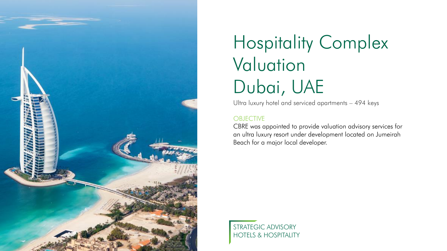

### Hospitality Complex Valuation Dubai, UAE

Ultra luxury hotel and serviced apartments – 494 keys

#### **OBJECTIVE**

CBRE was appointed to provide valuation advisory services for an ultra luxury resort under development located on Jumeirah Beach for a major local developer.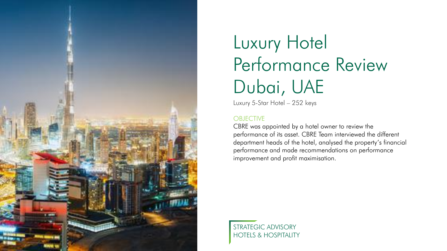

# Luxury Hotel Performance Review Dubai, UAE

Luxury 5-Star Hotel – 252 keys

#### **OBJECTIVE**

CBRE was appointed by a hotel owner to review the performance of its asset. CBRE Team interviewed the different department heads of the hotel, analysed the property's financial performance and made recommendations on performance improvement and profit maximisation.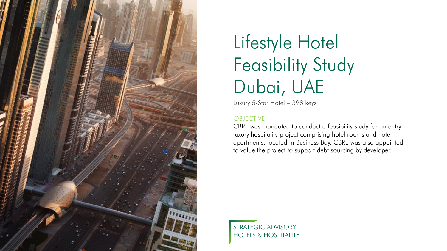

## Lifestyle Hotel Feasibility Study Dubai, UAE

Luxury 5-Star Hotel – 398 keys

#### **OBJECTIVE**

CBRE was mandated to conduct a feasibility study for an entry luxury hospitality project comprising hotel rooms and hotel apartments, located in Business Bay. CBRE was also appointed to value the project to support debt sourcing by developer.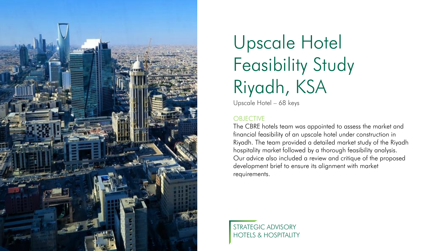

## Upscale Hotel Feasibility Study Riyadh, KSA

Upscale Hotel – 68 keys

#### **OBJECTIVE**

The CBRE hotels team was appointed to assess the market and financial feasibility of an upscale hotel under construction in Riyadh. The team provided a detailed market study of the Riyadh hospitality market followed by a thorough feasibility analysis. Our advice also included a review and critique of the proposed development brief to ensure its alignment with market requirements.